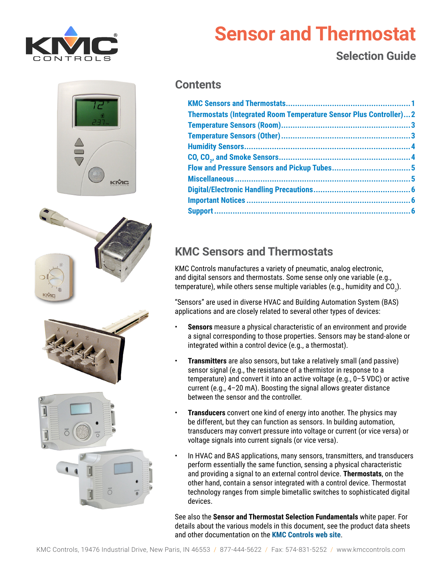







# **Sensor and Thermostat**

## **Selection Guide**

#### **Contents**

| <b>Thermostats (Integrated Room Temperature Sensor Plus Controller)2</b> |  |
|--------------------------------------------------------------------------|--|
|                                                                          |  |
|                                                                          |  |
|                                                                          |  |
|                                                                          |  |
|                                                                          |  |
|                                                                          |  |
|                                                                          |  |
|                                                                          |  |
|                                                                          |  |

### **KMC Sensors and Thermostats**

KMC Controls manufactures a variety of pneumatic, analog electronic, and digital sensors and thermostats. Some sense only one variable (e.g., temperature), while others sense multiple variables (e.g., humidity and CO $_{2}$ ).

"Sensors" are used in diverse HVAC and Building Automation System (BAS) applications and are closely related to several other types of devices:

- **Sensors** measure a physical characteristic of an environment and provide a signal corresponding to those properties. Sensors may be stand-alone or integrated within a control device (e.g., a thermostat).
- **Transmitters** are also sensors, but take a relatively small (and passive) sensor signal (e.g., the resistance of a thermistor in response to a temperature) and convert it into an active voltage (e.g., 0–5 VDC) or active current (e.g., 4–20 mA). Boosting the signal allows greater distance between the sensor and the controller.
- **Transducers** convert one kind of energy into another. The physics may be different, but they can function as sensors. In building automation, transducers may convert pressure into voltage or current (or vice versa) or voltage signals into current signals (or vice versa).
- In HVAC and BAS applications, many sensors, transmitters, and transducers perform essentially the same function, sensing a physical characteristic and providing a signal to an external control device. **Thermostats**, on the other hand, contain a sensor integrated with a control device. Thermostat technology ranges from simple bimetallic switches to sophisticated digital devices.

See also the **Sensor and Thermostat Selection Fundamentals** white paper. For details about the various models in this document, see the product data sheets and other documentation on the **[KMC Controls web site](http://www.kmccontrols.com/)**.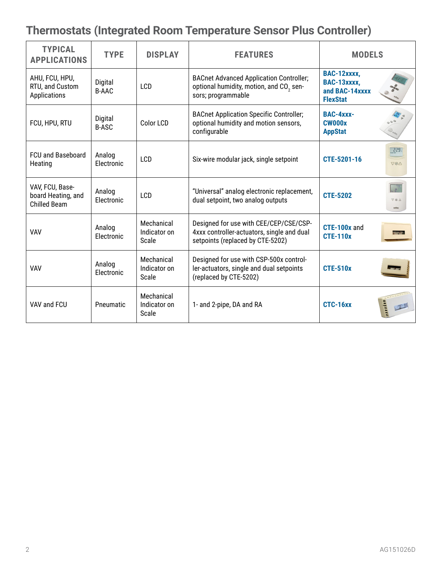# <span id="page-1-0"></span>**Thermostats (Integrated Room Temperature Sensor Plus Controller)**

| <b>TYPICAL</b><br><b>APPLICATIONS</b>                        | <b>TYPE</b>             | <b>DISPLAY</b>                      | <b>FEATURES</b>                                                                                                             | <b>MODELS</b>                                                   |                                 |
|--------------------------------------------------------------|-------------------------|-------------------------------------|-----------------------------------------------------------------------------------------------------------------------------|-----------------------------------------------------------------|---------------------------------|
| AHU, FCU, HPU,<br>RTU, and Custom<br>Applications            | Digital<br><b>B-AAC</b> | LCD                                 | <b>BACnet Advanced Application Controller;</b><br>optional humidity, motion, and CO <sub>2</sub> sen-<br>sors; programmable | BAC-12xxxx,<br>BAC-13xxxx,<br>and BAC-14xxxx<br><b>FlexStat</b> |                                 |
| FCU, HPU, RTU                                                | Digital<br><b>B-ASC</b> | Color LCD                           | <b>BACnet Application Specific Controller;</b><br>optional humidity and motion sensors,<br>configurable                     | BAC-4xxx-<br><b>CW000x</b><br><b>AppStat</b>                    |                                 |
| <b>FCU and Baseboard</b><br>Heating                          | Analog<br>Electronic    | LCD                                 | Six-wire modular jack, single setpoint                                                                                      | CTE-5201-16                                                     | 72.5<br>$\nabla \otimes \wedge$ |
| VAV, FCU, Base-<br>board Heating, and<br><b>Chilled Beam</b> | Analog<br>Electronic    | LCD                                 | "Universal" analog electronic replacement,<br>dual setpoint, two analog outputs                                             | <b>CTE-5202</b>                                                 |                                 |
| <b>VAV</b>                                                   | Analog<br>Electronic    | Mechanical<br>Indicator on<br>Scale | Designed for use with CEE/CEP/CSE/CSP-<br>4xxx controller-actuators, single and dual<br>setpoints (replaced by CTE-5202)    | CTE-100x and<br><b>CTE-110x</b>                                 |                                 |
| <b>VAV</b>                                                   | Analog<br>Electronic    | Mechanical<br>Indicator on<br>Scale | Designed for use with CSP-500x control-<br>ler-actuators, single and dual setpoints<br>(replaced by CTE-5202)               | <b>CTE-510x</b>                                                 |                                 |
| VAV and FCU                                                  | Pneumatic               | Mechanical<br>Indicator on<br>Scale | 1- and 2-pipe, DA and RA                                                                                                    | CTC-16xx                                                        |                                 |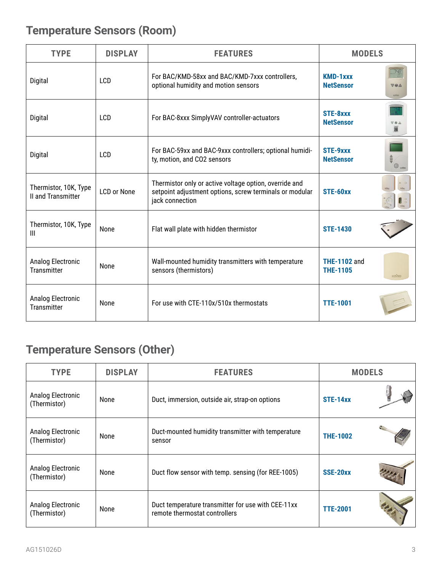# <span id="page-2-0"></span>**Temperature Sensors (Room)**

| <b>TYPE</b>                                 | <b>DISPLAY</b>     | <b>FEATURES</b>                                                                                                                      | <b>MODELS</b>                          |                      |
|---------------------------------------------|--------------------|--------------------------------------------------------------------------------------------------------------------------------------|----------------------------------------|----------------------|
| Digital                                     | LCD                | For BAC/KMD-58xx and BAC/KMD-7xxx controllers,<br>optional humidity and motion sensors                                               | <b>KMD-1xxx</b><br><b>NetSensor</b>    | <b>VeA</b><br>KIÔICI |
| Digital                                     | LCD                | For BAC-8xxx SimplyVAV controller-actuators                                                                                          | STE-8xxx<br><b>NetSensor</b>           | X                    |
| Digital                                     | LCD                | For BAC-59xx and BAC-9xxx controllers; optional humidi-<br>ty, motion, and CO2 sensors                                               | STE-9xxx<br><b>NetSensor</b>           |                      |
| Thermistor, 10K, Type<br>II and Transmitter | <b>LCD or None</b> | Thermistor only or active voltage option, override and<br>setpoint adjustment options, screw terminals or modular<br>jack connection | STE-60xx                               |                      |
| Thermistor, 10K, Type<br>III                | None               | Flat wall plate with hidden thermistor                                                                                               | <b>STE-1430</b>                        |                      |
| Analog Electronic<br><b>Transmitter</b>     | None               | Wall-mounted humidity transmitters with temperature<br>sensors (thermistors)                                                         | <b>THE-1102 and</b><br><b>THE-1105</b> | KIVIC                |
| Analog Electronic<br><b>Transmitter</b>     | None               | For use with CTE-110x/510x thermostats                                                                                               | <b>TTE-1001</b>                        |                      |

# **Temperature Sensors (Other)**

| <b>TYPE</b>                       | <b>DISPLAY</b> | <b>FEATURES</b>                                                                     | <b>MODELS</b>   |  |
|-----------------------------------|----------------|-------------------------------------------------------------------------------------|-----------------|--|
| Analog Electronic<br>(Thermistor) | None           | Duct, immersion, outside air, strap-on options                                      | STE-14xx        |  |
| Analog Electronic<br>(Thermistor) | <b>None</b>    | Duct-mounted humidity transmitter with temperature<br>sensor                        | <b>THE-1002</b> |  |
| Analog Electronic<br>(Thermistor) | None           | Duct flow sensor with temp. sensing (for REE-1005)                                  | SSE-20xx        |  |
| Analog Electronic<br>(Thermistor) | None           | Duct temperature transmitter for use with CEE-11xx<br>remote thermostat controllers | <b>TTE-2001</b> |  |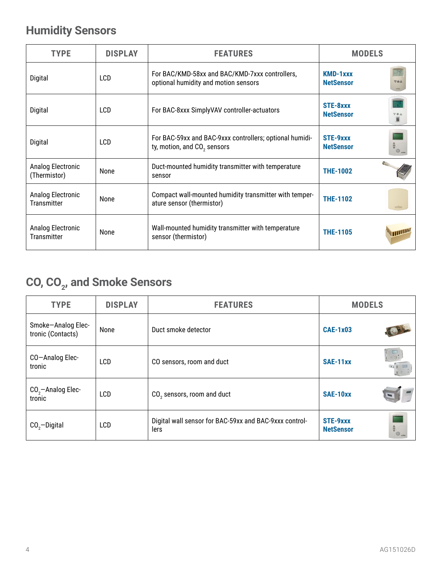# <span id="page-3-0"></span>**Humidity Sensors**

| <b>TYPE</b>                             | <b>DISPLAY</b> | <b>FEATURES</b>                                                                                    | <b>MODELS</b>                              |  |
|-----------------------------------------|----------------|----------------------------------------------------------------------------------------------------|--------------------------------------------|--|
| Digital                                 | <b>LCD</b>     | For BAC/KMD-58xx and BAC/KMD-7xxx controllers,<br>optional humidity and motion sensors             | <b>KMD-1xxx</b><br>VeA<br><b>NetSensor</b> |  |
| Digital                                 | LCD            | For BAC-8xxx SimplyVAV controller-actuators                                                        | STE-8xxx<br><b>NetSensor</b>               |  |
| Digital                                 | <b>LCD</b>     | For BAC-59xx and BAC-9xxx controllers; optional humidi-<br>ty, motion, and CO <sub>2</sub> sensors | STE-9xxx<br><b>NetSensor</b>               |  |
| Analog Electronic<br>(Thermistor)       | None           | Duct-mounted humidity transmitter with temperature<br>sensor                                       | <b>THE-1002</b>                            |  |
| Analog Electronic<br><b>Transmitter</b> | None           | Compact wall-mounted humidity transmitter with temper-<br>ature sensor (thermistor)                | <b>THE-1102</b><br>KIVIC                   |  |
| Analog Electronic<br><b>Transmitter</b> | None           | Wall-mounted humidity transmitter with temperature<br>sensor (thermistor)                          | uulli<br><b>THE-1105</b>                   |  |

# **CO, CO2 , and Smoke Sensors**

| <b>TYPE</b>                             | <b>DISPLAY</b> | <b>FEATURES</b>                                                | <b>MODELS</b>                |                                                      |
|-----------------------------------------|----------------|----------------------------------------------------------------|------------------------------|------------------------------------------------------|
| Smoke-Analog Elec-<br>tronic (Contacts) | None           | Duct smoke detector                                            | <b>CAE-1x03</b>              |                                                      |
| CO-Analog Elec-<br>tronic               | LCD            | CO sensors, room and duct                                      | SAE-11xx                     | $\overline{\bullet}$<br>$\widehat{\alpha_{1}^{*}-1}$ |
| $CO2$ -Analog Elec-<br>tronic           | LCD            | CO <sub>2</sub> sensors, room and duct                         | SAE-10xx                     |                                                      |
| $CO2$ -Digital                          | LCD            | Digital wall sensor for BAC-59xx and BAC-9xxx control-<br>lers | STE-9xxx<br><b>NetSensor</b> | $\frac{1}{\sqrt{2}}\sum_{n=1}^{\infty}$              |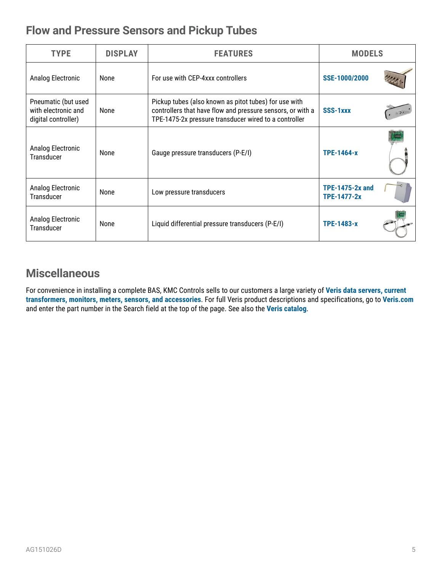#### <span id="page-4-0"></span>**Flow and Pressure Sensors and Pickup Tubes**

| <b>TYPE</b>                                                       | <b>DISPLAY</b> | <b>FEATURES</b>                                                                                                                                                              | <b>MODELS</b>                         |  |
|-------------------------------------------------------------------|----------------|------------------------------------------------------------------------------------------------------------------------------------------------------------------------------|---------------------------------------|--|
| Analog Electronic                                                 | None           | For use with CEP-4xxx controllers                                                                                                                                            | SSE-1000/2000                         |  |
| Pneumatic (but used<br>with electronic and<br>digital controller) | None           | Pickup tubes (also known as pitot tubes) for use with<br>controllers that have flow and pressure sensors, or with a<br>TPE-1475-2x pressure transducer wired to a controller | SSS-1xxx                              |  |
| Analog Electronic<br>Transducer                                   | None           | Gauge pressure transducers (P-E/I)                                                                                                                                           | <b>TPE-1464-x</b>                     |  |
| Analog Electronic<br><b>Transducer</b>                            | None           | Low pressure transducers                                                                                                                                                     | <b>TPE-1475-2x and</b><br>TPE-1477-2x |  |
| Analog Electronic<br><b>Transducer</b>                            | None           | Liquid differential pressure transducers (P-E/I)                                                                                                                             | <b>TPE-1483-x</b>                     |  |

#### **Miscellaneous**

For convenience in installing a complete BAS, KMC Controls sells to our customers a large variety of **[Veris data servers, current](https://www.kmccontrols.com/?s=veris)  [transformers, monitors, meters, sensors, and accessories](https://www.kmccontrols.com/?s=veris)**. For full Veris product descriptions and specifications, go to **[Veris.com](http://www.veris.com/)** and enter the part number in the Search field at the top of the page. See also the **[Veris catalog](https://www.veris.com/docs/FullCatalog/veris_full_catalog.pdf)**.